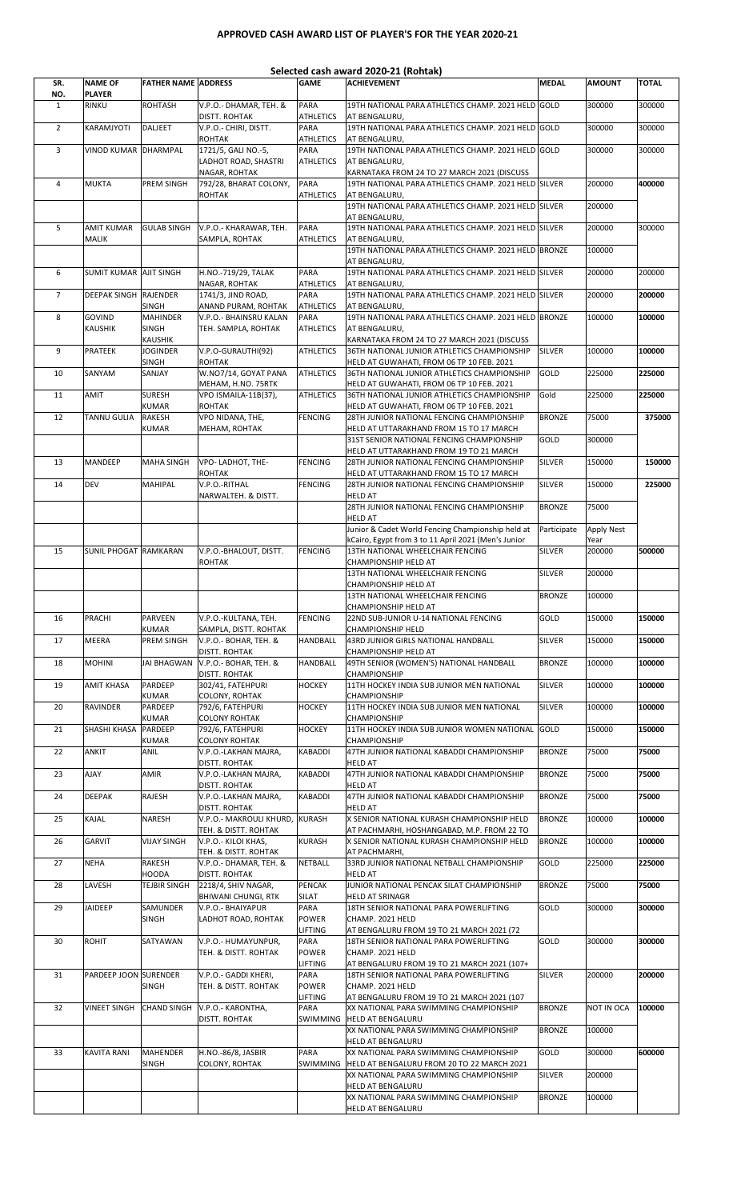## APPROVED CASH AWARD LIST OF PLAYER'S FOR THE YEAR 2020-21

| Selected cash award 2020-21 (Rohtak) |                                   |                                   |                                                 |                                 |                                                                                                          |               |                    |        |  |
|--------------------------------------|-----------------------------------|-----------------------------------|-------------------------------------------------|---------------------------------|----------------------------------------------------------------------------------------------------------|---------------|--------------------|--------|--|
| SR.<br>NO.                           | <b>NAME OF</b><br><b>PLAYER</b>   | <b>FATHER NAME ADDRESS</b>        |                                                 | <b>GAME</b>                     | <b>ACHIEVEMENT</b>                                                                                       | <b>MEDAL</b>  | <b>AMOUNT</b>      | TOTAL  |  |
| $\mathbf{1}$                         | RINKU                             | <b>ROHTASH</b>                    | V.P.O.- DHAMAR, TEH. &                          | <b>PARA</b>                     | 19TH NATIONAL PARA ATHLETICS CHAMP. 2021 HELD GOLD                                                       |               | 300000             | 300000 |  |
| $\overline{2}$                       | KARAMJYOTI                        | DALJEET                           | DISTT. ROHTAK<br>V.P.O.- CHIRI, DISTT.          | <b>ATHLETICS</b><br>PARA        | AT BENGALURU,<br>19TH NATIONAL PARA ATHLETICS CHAMP. 2021 HELD GOLD                                      |               | 300000             | 300000 |  |
| 3                                    | VINOD KUMAR DHARMPAL              |                                   | <b>ROHTAK</b><br>1721/5, GALI NO.-5,            | <b>ATHLETICS</b><br><b>PARA</b> | AT BENGALURU,<br>19TH NATIONAL PARA ATHLETICS CHAMP. 2021 HELD GOLD                                      |               | 300000             | 300000 |  |
|                                      |                                   |                                   | LADHOT ROAD, SHASTRI<br>NAGAR, ROHTAK           | <b>ATHLETICS</b>                | AT BENGALURU,<br>KARNATAKA FROM 24 TO 27 MARCH 2021 (DISCUSS                                             |               |                    |        |  |
| $\overline{4}$                       | <b>MUKTA</b>                      | PREM SINGH                        | 792/28, BHARAT COLONY,<br>ROHTAK                | <b>PARA</b><br><b>ATHLETICS</b> | 19TH NATIONAL PARA ATHLETICS CHAMP. 2021 HELD SILVER<br>AT BENGALURU,                                    |               | 200000             | 400000 |  |
|                                      |                                   |                                   |                                                 |                                 | 19TH NATIONAL PARA ATHLETICS CHAMP. 2021 HELD SILVER<br>AT BENGALURU,                                    |               | 200000             |        |  |
| 5                                    | <b>AMIT KUMAR</b><br><b>MALIK</b> | <b>GULAB SINGH</b>                | V.P.O.- KHARAWAR, TEH.<br>SAMPLA, ROHTAK        | <b>PARA</b><br><b>ATHLETICS</b> | 19TH NATIONAL PARA ATHLETICS CHAMP. 2021 HELD SILVER<br>AT BENGALURU,                                    |               | 200000             | 300000 |  |
|                                      |                                   |                                   |                                                 |                                 | 19TH NATIONAL PARA ATHLETICS CHAMP. 2021 HELD BRONZE                                                     |               | 100000             |        |  |
| 6                                    | <b>SUMIT KUMAR AJIT SINGH</b>     |                                   | H.NO.-719/29, TALAK                             | <b>PARA</b>                     | AT BENGALURU,<br>19TH NATIONAL PARA ATHLETICS CHAMP. 2021 HELD SILVER                                    |               | 200000             | 200000 |  |
| $\overline{7}$                       | DEEPAK SINGH RAJENDER             |                                   | NAGAR, ROHTAK<br>1741/3, JIND ROAD,             | ATHLETICS<br>PARA               | AT BENGALURU,<br>19TH NATIONAL PARA ATHLETICS CHAMP. 2021 HELD SILVER                                    |               | 200000             | 200000 |  |
|                                      |                                   | <b>SINGH</b>                      | ANAND PURAM, ROHTAK                             | <b>ATHLETICS</b>                | AT BENGALURU,                                                                                            |               |                    |        |  |
| 8                                    | <b>GOVIND</b><br><b>KAUSHIK</b>   | <b>MAHINDER</b><br><b>SINGH</b>   | V.P.O.- BHAINSRU KALAN<br>TEH. SAMPLA, ROHTAK   | <b>PARA</b><br><b>ATHLETICS</b> | 19TH NATIONAL PARA ATHLETICS CHAMP. 2021 HELD BRONZE<br>AT BENGALURU,                                    |               | 100000             | 100000 |  |
| 9                                    | <b>PRATEEK</b>                    | <b>KAUSHIK</b><br><b>JOGINDER</b> | V.P.O-GURAUTHI(92)                              | <b>ATHLETICS</b>                | KARNATAKA FROM 24 TO 27 MARCH 2021 (DISCUSS<br>36TH NATIONAL JUNIOR ATHLETICS CHAMPIONSHIP               | <b>SILVER</b> | 100000             | 100000 |  |
|                                      |                                   | <b>SINGH</b>                      | <b>ROHTAK</b>                                   |                                 | HELD AT GUWAHATI, FROM 06 TP 10 FEB. 2021                                                                |               |                    |        |  |
| 10                                   | SANYAM                            | SANJAY                            | W.NO7/14, GOYAT PANA<br>MEHAM, H.NO. 75RTK      | <b>ATHLETICS</b>                | 36TH NATIONAL JUNIOR ATHLETICS CHAMPIONSHIP<br>HELD AT GUWAHATI, FROM 06 TP 10 FEB. 2021                 | GOLD          | 225000             | 225000 |  |
| 11                                   | <b>AMIT</b>                       | <b>SURESH</b><br>KUMAR            | VPO ISMAILA-11B(37),<br>ROHTAK                  | <b>ATHLETICS</b>                | 36TH NATIONAL JUNIOR ATHLETICS CHAMPIONSHIP<br>HELD AT GUWAHATI, FROM 06 TP 10 FEB. 2021                 | Gold          | 225000             | 225000 |  |
| 12                                   | TANNU GULIA                       | <b>RAKESH</b>                     | VPO NIDANA, THE,                                | <b>FENCING</b>                  | 28TH JUNIOR NATIONAL FENCING CHAMPIONSHIP                                                                | <b>BRONZE</b> | 75000              | 375000 |  |
|                                      |                                   | <b>KUMAR</b>                      | MEHAM, ROHTAK                                   |                                 | HELD AT UTTARAKHAND FROM 15 TO 17 MARCH<br>31ST SENIOR NATIONAL FENCING CHAMPIONSHIP                     | GOLD          | 300000             |        |  |
| 13                                   | <b>MANDEEP</b>                    | <b>MAHA SINGH</b>                 | VPO-LADHOT, THE-                                | <b>FENCING</b>                  | HELD AT UTTARAKHAND FROM 19 TO 21 MARCH<br>28TH JUNIOR NATIONAL FENCING CHAMPIONSHIP                     | <b>SILVER</b> | 150000             | 150000 |  |
| 14                                   | <b>DEV</b>                        | MAHIPAL                           | <b>ROHTAK</b><br>V.P.O.-RITHAL                  | <b>FENCING</b>                  | HELD AT UTTARAKHAND FROM 15 TO 17 MARCH<br>28TH JUNIOR NATIONAL FENCING CHAMPIONSHIP                     | <b>SILVER</b> | 150000             | 225000 |  |
|                                      |                                   |                                   | NARWALTEH. & DISTT.                             |                                 | <b>HELD AT</b><br>28TH JUNIOR NATIONAL FENCING CHAMPIONSHIP                                              | <b>BRONZE</b> | 75000              |        |  |
|                                      |                                   |                                   |                                                 |                                 | <b>HELD AT</b>                                                                                           |               |                    |        |  |
|                                      |                                   |                                   |                                                 |                                 | Junior & Cadet World Fencing Championship held at<br>kCairo, Egypt from 3 to 11 April 2021 (Men's Junior | Participate   | Apply Nest<br>Year |        |  |
| 15                                   | SUNIL PHOGAT RAMKARAN             |                                   | V.P.O.-BHALOUT, DISTT.                          | <b>FENCING</b>                  | 13TH NATIONAL WHEELCHAIR FENCING                                                                         | SILVER        | 200000             | 500000 |  |
|                                      |                                   |                                   | ROHTAK                                          |                                 | CHAMPIONSHIP HELD AT<br>13TH NATIONAL WHEELCHAIR FENCING                                                 | <b>SILVER</b> | 200000             |        |  |
|                                      |                                   |                                   |                                                 |                                 | CHAMPIONSHIP HELD AT<br>13TH NATIONAL WHEELCHAIR FENCING                                                 | <b>BRONZE</b> | 100000             |        |  |
|                                      |                                   | <b>PARVEEN</b>                    | V.P.O.-KULTANA. TEH.                            |                                 | CHAMPIONSHIP HELD AT<br>22ND SUB-JUNIOR U-14 NATIONAL FENCING                                            |               |                    |        |  |
| 16                                   | <b>PRACHI</b>                     | KUMAR                             | SAMPLA, DISTT. ROHTAK                           | <b>FENCING</b>                  | CHAMPIONSHIP HELD                                                                                        | GOLD          | 150000             | 150000 |  |
| 17                                   | <b>MEERA</b>                      | PREM SINGH                        | V.P.O.- BOHAR, TEH. &<br>DISTT. ROHTAK          | <b>HANDBALL</b>                 | 43RD JUNIOR GIRLS NATIONAL HANDBALL<br>CHAMPIONSHIP HELD AT                                              | <b>SILVER</b> | 150000             | 150000 |  |
| 18                                   | <b>MOHINI</b>                     | <b>JAI BHAGWAN</b>                | V.P.O.-BOHAR, TEH. &<br>DISTT. ROHTAK           | HANDBALL                        | 49TH SENIOR (WOMEN'S) NATIONAL HANDBALL<br>CHAMPIONSHIP                                                  | <b>BRONZE</b> | 100000             | 100000 |  |
| 19                                   | AMIT KHASA                        | PARDEEP<br><b>KUMAR</b>           | 302/41, FATEHPURI<br>COLONY, ROHTAK             | <b>HOCKEY</b>                   | 11TH HOCKEY INDIA SUB JUNIOR MEN NATIONAL<br><b>CHAMPIONSHIP</b>                                         | SILVER        | 100000             | 100000 |  |
| 20                                   | <b>RAVINDER</b>                   | PARDEEP<br><b>KUMAR</b>           | 792/6, FATEHPURI<br><b>COLONY ROHTAK</b>        | <b>HOCKEY</b>                   | 11TH HOCKEY INDIA SUB JUNIOR MEN NATIONAL<br>CHAMPIONSHIP                                                | <b>SILVER</b> | 100000             | 100000 |  |
| 21                                   | SHASHI KHASA                      | PARDEEP                           | 792/6, FATEHPURI                                | <b>HOCKEY</b>                   | 11TH HOCKEY INDIA SUB JUNIOR WOMEN NATIONAL GOLD                                                         |               | 150000             | 150000 |  |
| 22                                   | ANKIT                             | KUMAR<br>ANIL                     | <b>COLONY ROHTAK</b><br>V.P.O.-LAKHAN MAJRA,    | <b>KABADDI</b>                  | <b>CHAMPIONSHIP</b><br>47TH JUNIOR NATIONAL KABADDI CHAMPIONSHIP                                         | <b>BRONZE</b> | 75000              | 75000  |  |
| 23                                   | <b>AJAY</b>                       | AMIR                              | DISTT. ROHTAK<br>V.P.O.-LAKHAN MAJRA,           | <b>KABADDI</b>                  | <b>HELD AT</b><br>47TH JUNIOR NATIONAL KABADDI CHAMPIONSHIP                                              | <b>BRONZE</b> | 75000              | 75000  |  |
| 24                                   | <b>DEEPAK</b>                     | <b>RAJESH</b>                     | DISTT. ROHTAK<br>V.P.O.-LAKHAN MAJRA,           | <b>KABADDI</b>                  | <b>HELD AT</b><br>47TH JUNIOR NATIONAL KABADDI CHAMPIONSHIP                                              | <b>BRONZE</b> | 75000              | 75000  |  |
| 25                                   | KAJAL                             | <b>NARESH</b>                     | DISTT. ROHTAK<br>V.P.O.- MAKROULI KHURD, KURASH |                                 | <b>HELD AT</b><br>X SENIOR NATIONAL KURASH CHAMPIONSHIP HELD                                             | <b>BRONZE</b> | 100000             | 100000 |  |
|                                      |                                   |                                   | TEH. & DISTT. ROHTAK                            |                                 | AT PACHMARHI, HOSHANGABAD, M.P. FROM 22 TO                                                               |               |                    |        |  |
| 26                                   | <b>GARVIT</b>                     | <b>VIJAY SINGH</b>                | V.P.O.- KILOI KHAS,<br>TEH. & DISTT. ROHTAK     | <b>KURASH</b>                   | X SENIOR NATIONAL KURASH CHAMPIONSHIP HELD<br>AT PACHMARHI,                                              | <b>BRONZE</b> | 100000             | 100000 |  |
| 27                                   | <b>NEHA</b>                       | <b>RAKESH</b><br><b>HOODA</b>     | V.P.O.- DHAMAR, TEH. &<br>DISTT. ROHTAK         | <b>NETBALL</b>                  | 33RD JUNIOR NATIONAL NETBALL CHAMPIONSHIP<br><b>HELD AT</b>                                              | GOLD          | 225000             | 225000 |  |
| 28                                   | LAVESH                            | <b>TEJBIR SINGH</b>               | 2218/4, SHIV NAGAR,                             | <b>PENCAK</b>                   | JUNIOR NATIONAL PENCAK SILAT CHAMPIONSHIP                                                                | <b>BRONZE</b> | 75000              | 75000  |  |
| 29                                   | <b>JAIDEEP</b>                    | SAMUNDER                          | <b>BHIWANI CHUNGI, RTK</b><br>V.P.O.- BHAIYAPUR | SILAT<br><b>PARA</b>            | <b>HELD AT SRINAGR</b><br>18TH SENIOR NATIONAL PARA POWERLIFTING                                         | GOLD          | 300000             | 300000 |  |
|                                      |                                   | SINGH                             | LADHOT ROAD, ROHTAK                             | <b>POWER</b><br>LIFTING         | CHAMP. 2021 HELD<br>AT BENGALURU FROM 19 TO 21 MARCH 2021 (72                                            |               |                    |        |  |
| 30                                   | <b>ROHIT</b>                      | SATYAWAN                          | V.P.O.- HUMAYUNPUR,                             | <b>PARA</b>                     | 18TH SENIOR NATIONAL PARA POWERLIFTING                                                                   | GOLD          | 300000             | 300000 |  |
|                                      |                                   |                                   | TEH. & DISTT. ROHTAK                            | <b>POWER</b><br>LIFTING         | CHAMP. 2021 HELD<br>AT BENGALURU FROM 19 TO 21 MARCH 2021 (107+                                          |               |                    |        |  |
| 31                                   | PARDEEP JOON SURENDER             | <b>SINGH</b>                      | V.P.O.- GADDI KHERI,<br>TEH. & DISTT. ROHTAK    | <b>PARA</b><br><b>POWER</b>     | 18TH SENIOR NATIONAL PARA POWERLIFTING<br>CHAMP. 2021 HELD                                               | <b>SILVER</b> | 200000             | 200000 |  |
|                                      |                                   |                                   |                                                 | LIFTING                         | AT BENGALURU FROM 19 TO 21 MARCH 2021 (107                                                               |               |                    |        |  |
| 32                                   | VINEET SINGH                      |                                   | CHAND SINGH V.P.O. - KARONTHA,<br>DISTT. ROHTAK | PARA<br>SWIMMING                | XX NATIONAL PARA SWIMMING CHAMPIONSHIP<br><b>HELD AT BENGALURU</b>                                       | <b>BRONZE</b> | NOT IN OCA         | 100000 |  |
|                                      |                                   |                                   |                                                 |                                 | XX NATIONAL PARA SWIMMING CHAMPIONSHIP<br>HELD AT BENGALURU                                              | <b>BRONZE</b> | 100000             |        |  |
| 33                                   | <b>KAVITA RANI</b>                | <b>MAHENDER</b><br>SINGH          | H.NO.-86/8, JASBIR<br>COLONY, ROHTAK            | PARA<br>SWIMMING                | XX NATIONAL PARA SWIMMING CHAMPIONSHIP<br>HELD AT BENGALURU FROM 20 TO 22 MARCH 2021                     | GOLD          | 300000             | 600000 |  |
|                                      |                                   |                                   |                                                 |                                 | XX NATIONAL PARA SWIMMING CHAMPIONSHIP<br>HELD AT BENGALURU                                              | <b>SILVER</b> | 200000             |        |  |
|                                      |                                   |                                   |                                                 |                                 | XX NATIONAL PARA SWIMMING CHAMPIONSHIP<br>HELD AT BENGALURU                                              | <b>BRONZE</b> | 100000             |        |  |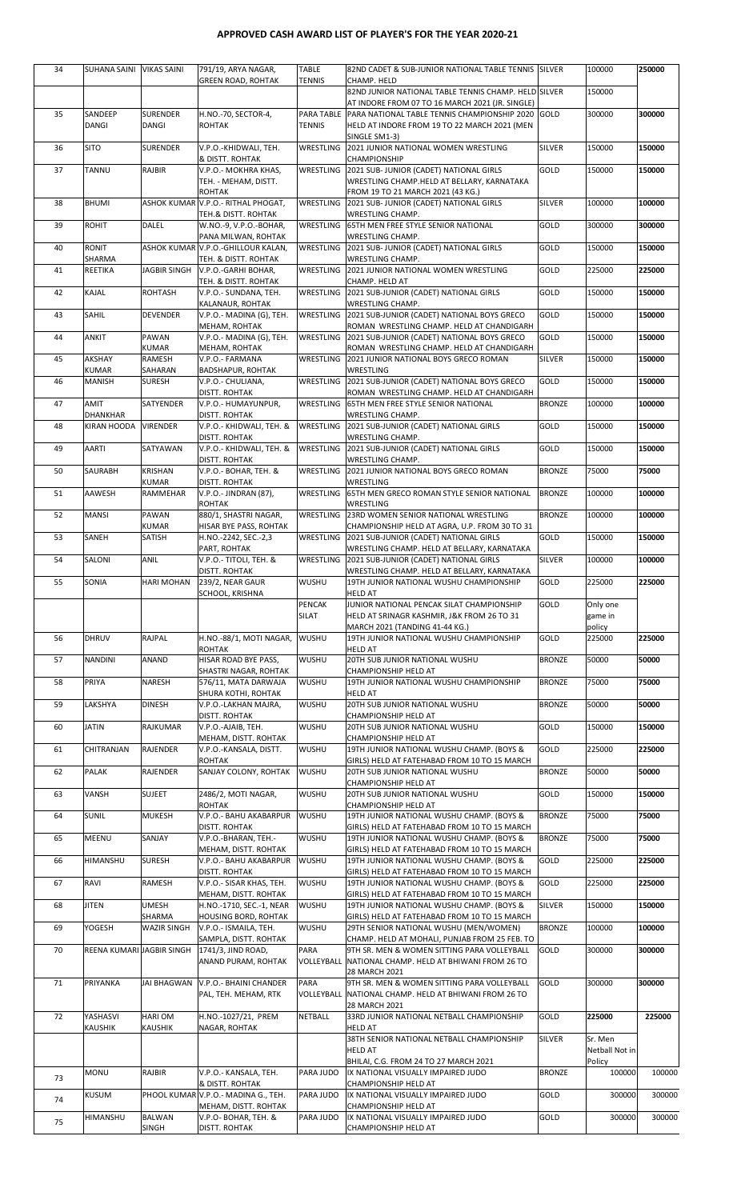## APPROVED CASH AWARD LIST OF PLAYER'S FOR THE YEAR 2020-21

| 34 | SUHANA SAINI VIKAS SAINI   |                                 | 791/19, ARYA NAGAR,<br><b>GREEN ROAD, ROHTAK</b>            | <b>TABLE</b><br><b>TENNIS</b> | 82ND CADET & SUB-JUNIOR NATIONAL TABLE TENNIS ISILVER<br>CHAMP. HELD                                            |               | 100000                   | 250000 |
|----|----------------------------|---------------------------------|-------------------------------------------------------------|-------------------------------|-----------------------------------------------------------------------------------------------------------------|---------------|--------------------------|--------|
|    |                            |                                 |                                                             |                               | 82ND JUNIOR NATIONAL TABLE TENNIS CHAMP. HELD SILVER                                                            |               | 150000                   |        |
| 35 | SANDEEP                    | <b>SURENDER</b>                 | H.NO.-70, SECTOR-4,                                         |                               | AT INDORE FROM 07 TO 16 MARCH 2021 (JR. SINGLE)<br>PARA TABLE PARA NATIONAL TABLE TENNIS CHAMPIONSHIP 2020 GOLD |               | 300000                   | 300000 |
|    | DANGI                      | DANGI                           | <b>ROHTAK</b>                                               | TENNIS                        | HELD AT INDORE FROM 19 TO 22 MARCH 2021 (MEN<br>SINGLE SM1-3)                                                   |               |                          |        |
| 36 | <b>SITO</b>                | <b>SURENDER</b>                 | V.P.O.-KHIDWALI, TEH.<br>& DISTT. ROHTAK                    | WRESTLING                     | 2021 JUNIOR NATIONAL WOMEN WRESTLING<br>CHAMPIONSHIP                                                            | <b>SILVER</b> | 150000                   | 150000 |
| 37 | <b>TANNU</b>               | <b>RAJBIR</b>                   | V.P.O.- MOKHRA KHAS,                                        | WRESTLING                     | 2021 SUB- JUNIOR (CADET) NATIONAL GIRLS                                                                         | GOLD          | 150000                   | 150000 |
|    |                            |                                 | TEH. - MEHAM, DISTT.<br>ROHTAK                              |                               | WRESTLING CHAMP.HELD AT BELLARY, KARNATAKA<br>FROM 19 TO 21 MARCH 2021 (43 KG.)                                 |               |                          |        |
| 38 | <b>BHUMI</b>               |                                 | ASHOK KUMAR V.P.O.- RITHAL PHOGAT,<br>TEH.& DISTT. ROHTAK   | WRESTLING                     | 2021 SUB- JUNIOR (CADET) NATIONAL GIRLS<br><b>WRESTLING CHAMP.</b>                                              | <b>SILVER</b> | 100000                   | 100000 |
| 39 | <b>ROHIT</b>               | <b>DALEL</b>                    | W.NO.-9, V.P.O.-BOHAR,<br>PANA MILWAN, ROHTAK               | <b>WRESTLING</b>              | 65TH MEN FREE STYLE SENIOR NATIONAL<br>WRESTLING CHAMP.                                                         | GOLD          | 300000                   | 300000 |
| 40 | <b>RONIT</b><br>SHARMA     |                                 | ASHOK KUMAR V.P.O.-GHILLOUR KALAN,<br>TEH. & DISTT. ROHTAK  | WRESTLING                     | 2021 SUB- JUNIOR (CADET) NATIONAL GIRLS<br>WRESTLING CHAMP.                                                     | GOLD          | 150000                   | 150000 |
| 41 | REETIKA                    | JAGBIR SINGH                    | V.P.O.-GARHI BOHAR,                                         |                               | WRESTLING 2021 JUNIOR NATIONAL WOMEN WRESTLING                                                                  | GOLD          | 225000                   | 225000 |
| 42 | KAJAL                      | <b>ROHTASH</b>                  | TEH. & DISTT. ROHTAK<br>V.P.O.- SUNDANA, TEH.               | WRESTLING                     | CHAMP. HELD AT<br>2021 SUB-JUNIOR (CADET) NATIONAL GIRLS                                                        | GOLD          | 150000                   | 150000 |
| 43 | SAHIL                      | <b>DEVENDER</b>                 | KALANAUR, ROHTAK<br>V.P.O.- MADINA (G), TEH.                | WRESTLING                     | WRESTLING CHAMP.<br>2021 SUB-JUNIOR (CADET) NATIONAL BOYS GRECO                                                 | GOLD          | 150000                   | 150000 |
| 44 | ANKIT                      | PAWAN                           | MEHAM, ROHTAK<br>V.P.O.- MADINA (G), TEH.                   | WRESTLING                     | ROMAN WRESTLING CHAMP. HELD AT CHANDIGARH<br>2021 SUB-JUNIOR (CADET) NATIONAL BOYS GRECO                        | GOLD          | 150000                   | 150000 |
| 45 | AKSHAY                     | <b>KUMAR</b><br>RAMESH          | MEHAM, ROHTAK<br>V.P.O.- FARMANA                            | WRESTLING                     | ROMAN WRESTLING CHAMP. HELD AT CHANDIGARH<br>2021 JUNIOR NATIONAL BOYS GRECO ROMAN                              | <b>SILVER</b> | 150000                   | 150000 |
| 46 | KUMAR<br>MANISH            | SAHARAN<br><b>SURESH</b>        | BADSHAPUR, ROHTAK                                           |                               | <b>WRESTLING</b><br>WRESTLING 2021 SUB-JUNIOR (CADET) NATIONAL BOYS GRECO                                       | GOLD          | 150000                   | 150000 |
|    |                            |                                 | V.P.O.- CHULIANA,<br><b>DISTT. ROHTAK</b>                   |                               | ROMAN WRESTLING CHAMP. HELD AT CHANDIGARH                                                                       |               |                          |        |
| 47 | AMIT<br><b>DHANKHAR</b>    | SATYENDER                       | V.P.O.- HUMAYUNPUR,<br><b>DISTT. ROHTAK</b>                 | WRESTLING                     | 65TH MEN FREE STYLE SENIOR NATIONAL<br>WRESTLING CHAMP.                                                         | <b>BRONZE</b> | 100000                   | 100000 |
| 48 | KIRAN HOODA                | <b>VIRENDER</b>                 | V.P.O.- KHIDWALI, TEH. &<br>DISTT. ROHTAK                   | <b>WRESTLING</b>              | 2021 SUB-JUNIOR (CADET) NATIONAL GIRLS<br>WRESTLING CHAMP.                                                      | GOLD          | 150000                   | 150000 |
| 49 | AARTI                      | SATYAWAN                        | V.P.O.- KHIDWALI, TEH. &                                    |                               | WRESTLING   2021 SUB-JUNIOR (CADET) NATIONAL GIRLS                                                              | GOLD          | 150000                   | 150000 |
| 50 | SAURABH                    | <b>KRISHAN</b>                  | <b>DISTT. ROHTAK</b><br>V.P.O.- BOHAR, TEH. &               | WRESTLING                     | WRESTLING CHAMP.<br>2021 JUNIOR NATIONAL BOYS GRECO ROMAN                                                       | <b>BRONZE</b> | 75000                    | 75000  |
| 51 | AAWESH                     | <b>KUMAR</b><br><b>RAMMEHAR</b> | DISTT. ROHTAK<br>V.P.O.- JINDRAN (87),                      | <b>WRESTLING</b>              | WRESTLING<br>65TH MEN GRECO ROMAN STYLE SENIOR NATIONAL                                                         | <b>BRONZE</b> | 100000                   | 100000 |
| 52 | <b>MANSI</b>               | PAWAN                           | ROHTAK<br>880/1, SHASTRI NAGAR,                             | WRESTLING                     | WRESTLING<br>23RD WOMEN SENIOR NATIONAL WRESTLING                                                               | <b>BRONZE</b> | 100000                   | 100000 |
| 53 | SANEH                      | <b>KUMAR</b><br>SATISH          | HISAR BYE PASS, ROHTAK<br>H.NO.-2242, SEC.-2,3              | WRESTLING                     | CHAMPIONSHIP HELD AT AGRA, U.P. FROM 30 TO 31<br>2021 SUB-JUNIOR (CADET) NATIONAL GIRLS                         | GOLD          | 150000                   | 150000 |
| 54 | SALONI                     | <b>ANIL</b>                     | PART, ROHTAK<br>V.P.O.- TITOLI, TEH. &                      | WRESTLING                     | WRESTLING CHAMP. HELD AT BELLARY, KARNATAKA<br>2021 SUB-JUNIOR (CADET) NATIONAL GIRLS                           | SILVER        | 100000                   | 100000 |
|    |                            |                                 | <b>DISTT. ROHTAK</b>                                        |                               | WRESTLING CHAMP. HELD AT BELLARY, KARNATAKA                                                                     |               |                          |        |
| 55 | SONIA                      | <b>HARI MOHAN</b>               | 239/2, NEAR GAUR<br>SCHOOL, KRISHNA                         | <b>WUSHU</b>                  | 19TH JUNIOR NATIONAL WUSHU CHAMPIONSHIP<br><b>HELD AT</b>                                                       | GOLD          | 225000                   | 225000 |
|    |                            |                                 |                                                             | <b>PENCAK</b><br>SILAT        | JUNIOR NATIONAL PENCAK SILAT CHAMPIONSHIP<br>HELD AT SRINAGR KASHMIR, J&K FROM 26 TO 31                         | GOLD          | Only one<br>game in      |        |
| 56 | <b>DHRUV</b>               | <b>RAJPAL</b>                   | H.NO.-88/1, MOTI NAGAR,                                     | <b>WUSHU</b>                  | MARCH 2021 (TANDING 41-44 KG.)<br>19TH JUNIOR NATIONAL WUSHU CHAMPIONSHIP                                       | GOLD          | policy<br>225000         | 225000 |
| 57 | <b>NANDINI</b>             | <b>ANAND</b>                    | ROHTAK<br>HISAR ROAD BYE PASS,                              | <b>WUSHU</b>                  | HELD AT<br>20TH SUB JUNIOR NATIONAL WUSHU                                                                       | <b>BRONZE</b> | 50000                    | 50000  |
|    |                            |                                 | SHASTRI NAGAR, ROHTAK                                       |                               | CHAMPIONSHIP HELD AT<br>19TH JUNIOR NATIONAL WUSHU CHAMPIONSHIP                                                 | <b>BRONZE</b> |                          |        |
| 58 | PRIYA                      | <b>NARESH</b>                   | 576/11, MATA DARWAJA<br>SHURA KOTHI, ROHTAK                 | <b>WUSHU</b>                  | <b>HELD AT</b>                                                                                                  |               | 75000                    | 75000  |
| 59 | LAKSHYA                    | <b>DINESH</b>                   | V.P.O.-LAKHAN MAJRA,<br>DISTT. ROHTAK                       | WUSHU                         | 20TH SUB JUNIOR NATIONAL WUSHU<br>CHAMPIONSHIP HELD AT                                                          | <b>BRONZE</b> | 50000                    | 50000  |
| 60 | JATIN                      | <b>RAJKUMAR</b>                 | V.P.O.-AJAIB, TEH.<br>MEHAM, DISTT. ROHTAK                  | <b>WUSHU</b>                  | 20TH SUB JUNIOR NATIONAL WUSHU<br>CHAMPIONSHIP HELD AT                                                          | GOLD          | 150000                   | 150000 |
| 61 | CHITRANJAN                 | RAJENDER                        | V.P.O.-KANSALA, DISTT.                                      | <b>WUSHU</b>                  | 19TH JUNIOR NATIONAL WUSHU CHAMP. (BOYS &                                                                       | GOLD          | 225000                   | 225000 |
| 62 | <b>PALAK</b>               | <b>RAJENDER</b>                 | <b>ROHTAK</b><br>SANJAY COLONY, ROHTAK                      | <b>WUSHU</b>                  | GIRLS) HELD AT FATEHABAD FROM 10 TO 15 MARCH<br>20TH SUB JUNIOR NATIONAL WUSHU                                  | <b>BRONZE</b> | 50000                    | 50000  |
| 63 | <b>VANSH</b>               | <b>SUJEET</b>                   | 2486/2, MOTI NAGAR,                                         | <b>WUSHU</b>                  | CHAMPIONSHIP HELD AT<br>20TH SUB JUNIOR NATIONAL WUSHU                                                          | GOLD          | 150000                   | 150000 |
| 64 | <b>SUNIL</b>               | <b>MUKESH</b>                   | <b>ROHTAK</b><br>V.P.O.- BAHU AKABARPUR                     | <b>WUSHU</b>                  | CHAMPIONSHIP HELD AT<br>19TH JUNIOR NATIONAL WUSHU CHAMP. (BOYS &                                               | <b>BRONZE</b> | 75000                    | 75000  |
| 65 | <b>MEENU</b>               | SANJAY                          | DISTT. ROHTAK<br>V.P.O.-BHARAN, TEH.-                       | <b>WUSHU</b>                  | GIRLS) HELD AT FATEHABAD FROM 10 TO 15 MARCH<br>19TH JUNIOR NATIONAL WUSHU CHAMP. (BOYS &                       | <b>BRONZE</b> | 75000                    | 75000  |
|    |                            | <b>SURESH</b>                   | MEHAM, DISTT. ROHTAK                                        | <b>WUSHU</b>                  | GIRLS) HELD AT FATEHABAD FROM 10 TO 15 MARCH                                                                    |               |                          |        |
| 66 | HIMANSHU                   |                                 | V.P.O.- BAHU AKABARPUR<br>DISTT. ROHTAK                     |                               | 19TH JUNIOR NATIONAL WUSHU CHAMP. (BOYS &<br>GIRLS) HELD AT FATEHABAD FROM 10 TO 15 MARCH                       | GOLD          | 225000                   | 225000 |
| 67 | RAVI                       | <b>RAMESH</b>                   | V.P.O. - SISAR KHAS, TEH.<br>MEHAM, DISTT. ROHTAK           | <b>WUSHU</b>                  | 19TH JUNIOR NATIONAL WUSHU CHAMP. (BOYS &<br>GIRLS) HELD AT FATEHABAD FROM 10 TO 15 MARCH                       | GOLD          | 225000                   | 225000 |
| 68 | <b>JITEN</b>               | <b>UMESH</b><br>SHARMA          | H.NO.-1710, SEC.-1, NEAR<br>HOUSING BORD, ROHTAK            | <b>WUSHU</b>                  | 19TH JUNIOR NATIONAL WUSHU CHAMP. (BOYS &<br>GIRLS) HELD AT FATEHABAD FROM 10 TO 15 MARCH                       | SILVER        | 150000                   | 150000 |
| 69 | YOGESH                     | <b>WAZIR SINGH</b>              | V.P.O.- ISMAILA, TEH.<br>SAMPLA, DISTT. ROHTAK              | <b>WUSHU</b>                  | 29TH SENIOR NATIONAL WUSHU (MEN/WOMEN)<br>CHAMP. HELD AT MOHALI, PUNJAB FROM 25 FEB. TO                         | <b>BRONZE</b> | 100000                   | 100000 |
| 70 | REENA KUMARI JAGBIR SINGH  |                                 | 1741/3, JIND ROAD,                                          | <b>PARA</b>                   | 9TH SR. MEN & WOMEN SITTING PARA VOLLEYBALL                                                                     | GOLD          | 300000                   | 300000 |
|    |                            |                                 | ANAND PURAM, ROHTAK                                         |                               | VOLLEYBALL NATIONAL CHAMP. HELD AT BHIWANI FROM 26 TO<br>28 MARCH 2021                                          |               |                          |        |
| 71 | PRIYANKA                   | <b>JAI BHAGWAN</b>              | V.P.O.- BHAINI CHANDER<br>PAL, TEH. MEHAM, RTK              | <b>PARA</b><br>VOLLEYBALL     | 9TH SR. MEN & WOMEN SITTING PARA VOLLEYBALL<br>NATIONAL CHAMP. HELD AT BHIWANI FROM 26 TO<br>28 MARCH 2021      | GOLD          | 300000                   | 300000 |
| 72 | YASHASVI<br><b>KAUSHIK</b> | <b>HARI OM</b>                  | H.NO.-1027/21. PREM<br>NAGAR, ROHTAK                        | <b>NETBALL</b>                | 33RD JUNIOR NATIONAL NETBALL CHAMPIONSHIP<br><b>HELD AT</b>                                                     | GOLD          | 225000                   | 225000 |
|    |                            | KAUSHIK                         |                                                             |                               | 38TH SENIOR NATIONAL NETBALL CHAMPIONSHIP                                                                       | <b>SILVER</b> | Sr. Men                  |        |
|    |                            |                                 |                                                             |                               | <b>HELD AT</b><br>BHILAI, C.G. FROM 24 TO 27 MARCH 2021                                                         |               | Netball Not in<br>Policy |        |
| 73 | <b>MONU</b>                | <b>RAJBIR</b>                   | V.P.O.- KANSALA, TEH.<br>& DISTT. ROHTAK                    | PARA JUDO                     | IX NATIONAL VISUALLY IMPAIRED JUDO<br>CHAMPIONSHIP HELD AT                                                      | <b>BRONZE</b> | 100000                   | 100000 |
| 74 | <b>KUSUM</b>               |                                 | PHOOL KUMAR V.P.O.- MADINA G., TEH.<br>MEHAM, DISTT. ROHTAK | PARA JUDO                     | IX NATIONAL VISUALLY IMPAIRED JUDO<br>CHAMPIONSHIP HELD AT                                                      | GOLD          | 300000                   | 300000 |
|    | <b>HIMANSHU</b>            | <b>BALWAN</b>                   | V.P.O- BOHAR, TEH. &                                        | PARA JUDO                     | IX NATIONAL VISUALLY IMPAIRED JUDO                                                                              | GOLD          | 300000                   | 300000 |
| 75 |                            | <b>SINGH</b>                    | <b>DISTT. ROHTAK</b>                                        |                               | CHAMPIONSHIP HELD AT                                                                                            |               |                          |        |